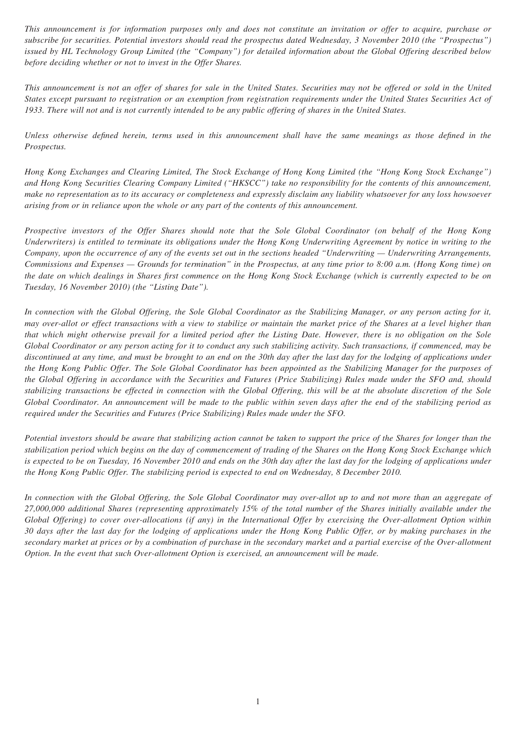*This announcement is for information purposes only and does not constitute an invitation or offer to acquire, purchase or subscribe for securities. Potential investors should read the prospectus dated Wednesday, 3 November 2010 (the "Prospectus") issued by HL Technology Group Limited (the "Company") for detailed information about the Global Offering described below before deciding whether or not to invest in the Offer Shares.*

*This announcement is not an offer of shares for sale in the United States. Securities may not be offered or sold in the United States except pursuant to registration or an exemption from registration requirements under the United States Securities Act of 1933. There will not and is not currently intended to be any public offering of shares in the United States.*

*Unless otherwise defined herein, terms used in this announcement shall have the same meanings as those defined in the Prospectus.*

*Hong Kong Exchanges and Clearing Limited, The Stock Exchange of Hong Kong Limited (the "Hong Kong Stock Exchange") and Hong Kong Securities Clearing Company Limited ("HKSCC") take no responsibility for the contents of this announcement, make no representation as to its accuracy or completeness and expressly disclaim any liability whatsoever for any loss howsoever arising from or in reliance upon the whole or any part of the contents of this announcement.*

*Prospective investors of the Offer Shares should note that the Sole Global Coordinator (on behalf of the Hong Kong Underwriters) is entitled to terminate its obligations under the Hong Kong Underwriting Agreement by notice in writing to the Company, upon the occurrence of any of the events set out in the sections headed "Underwriting — Underwriting Arrangements, Commissions and Expenses — Grounds for termination" in the Prospectus, at any time prior to 8:00 a.m. (Hong Kong time) on the date on which dealings in Shares first commence on the Hong Kong Stock Exchange (which is currently expected to be on Tuesday, 16 November 2010) (the "Listing Date").*

*In connection with the Global Offering, the Sole Global Coordinator as the Stabilizing Manager, or any person acting for it, may over-allot or effect transactions with a view to stabilize or maintain the market price of the Shares at a level higher than that which might otherwise prevail for a limited period after the Listing Date. However, there is no obligation on the Sole Global Coordinator or any person acting for it to conduct any such stabilizing activity. Such transactions, if commenced, may be discontinued at any time, and must be brought to an end on the 30th day after the last day for the lodging of applications under the Hong Kong Public Offer. The Sole Global Coordinator has been appointed as the Stabilizing Manager for the purposes of the Global Offering in accordance with the Securities and Futures (Price Stabilizing) Rules made under the SFO and, should stabilizing transactions be effected in connection with the Global Offering, this will be at the absolute discretion of the Sole Global Coordinator. An announcement will be made to the public within seven days after the end of the stabilizing period as required under the Securities and Futures (Price Stabilizing) Rules made under the SFO.*

*Potential investors should be aware that stabilizing action cannot be taken to support the price of the Shares for longer than the stabilization period which begins on the day of commencement of trading of the Shares on the Hong Kong Stock Exchange which*  is expected to be on Tuesday, 16 November 2010 and ends on the 30th day after the last day for the lodging of applications under *the Hong Kong Public Offer. The stabilizing period is expected to end on Wednesday, 8 December 2010.*

*In connection with the Global Offering, the Sole Global Coordinator may over-allot up to and not more than an aggregate of 27,000,000 additional Shares (representing approximately 15% of the total number of the Shares initially available under the Global Offering) to cover over-allocations (if any) in the International Offer by exercising the Over-allotment Option within 30 days after the last day for the lodging of applications under the Hong Kong Public Offer, or by making purchases in the secondary market at prices or by a combination of purchase in the secondary market and a partial exercise of the Over-allotment Option. In the event that such Over-allotment Option is exercised, an announcement will be made.*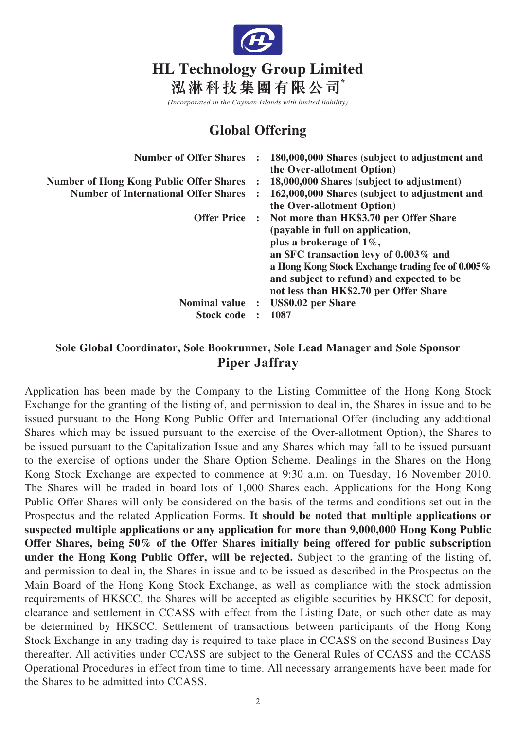

*(Incorporated in the Cayman Islands with limited liability)*

# **Global Offering**

| <b>Number of Offer Shares :</b>                  | 180,000,000 Shares (subject to adjustment and<br>the Over-allotment Option)                                                                                                                                                                                                                                 |
|--------------------------------------------------|-------------------------------------------------------------------------------------------------------------------------------------------------------------------------------------------------------------------------------------------------------------------------------------------------------------|
| <b>Number of Hong Kong Public Offer Shares :</b> | 18,000,000 Shares (subject to adjustment)                                                                                                                                                                                                                                                                   |
| <b>Number of International Offer Shares</b>      | 162,000,000 Shares (subject to adjustment and<br>the Over-allotment Option)                                                                                                                                                                                                                                 |
|                                                  | Offer Price : Not more than HK\$3.70 per Offer Share<br>(payable in full on application,<br>plus a brokerage of $1\%$ ,<br>an SFC transaction levy of 0.003% and<br>a Hong Kong Stock Exchange trading fee of 0.005%<br>and subject to refund) and expected to be<br>not less than HK\$2.70 per Offer Share |
| Nominal value :<br><b>Stock code</b>             | US\$0.02 per Share<br>1087                                                                                                                                                                                                                                                                                  |

## **Sole Global Coordinator, Sole Bookrunner, Sole Lead Manager and Sole Sponsor Piper Jaffray**

Application has been made by the Company to the Listing Committee of the Hong Kong Stock Exchange for the granting of the listing of, and permission to deal in, the Shares in issue and to be issued pursuant to the Hong Kong Public Offer and International Offer (including any additional Shares which may be issued pursuant to the exercise of the Over-allotment Option), the Shares to be issued pursuant to the Capitalization Issue and any Shares which may fall to be issued pursuant to the exercise of options under the Share Option Scheme. Dealings in the Shares on the Hong Kong Stock Exchange are expected to commence at 9:30 a.m. on Tuesday, 16 November 2010. The Shares will be traded in board lots of 1,000 Shares each. Applications for the Hong Kong Public Offer Shares will only be considered on the basis of the terms and conditions set out in the Prospectus and the related Application Forms. **It should be noted that multiple applications or suspected multiple applications or any application for more than 9,000,000 Hong Kong Public Offer Shares, being 50% of the Offer Shares initially being offered for public subscription under the Hong Kong Public Offer, will be rejected.** Subject to the granting of the listing of, and permission to deal in, the Shares in issue and to be issued as described in the Prospectus on the Main Board of the Hong Kong Stock Exchange, as well as compliance with the stock admission requirements of HKSCC, the Shares will be accepted as eligible securities by HKSCC for deposit, clearance and settlement in CCASS with effect from the Listing Date, or such other date as may be determined by HKSCC. Settlement of transactions between participants of the Hong Kong Stock Exchange in any trading day is required to take place in CCASS on the second Business Day thereafter. All activities under CCASS are subject to the General Rules of CCASS and the CCASS Operational Procedures in effect from time to time. All necessary arrangements have been made for the Shares to be admitted into CCASS.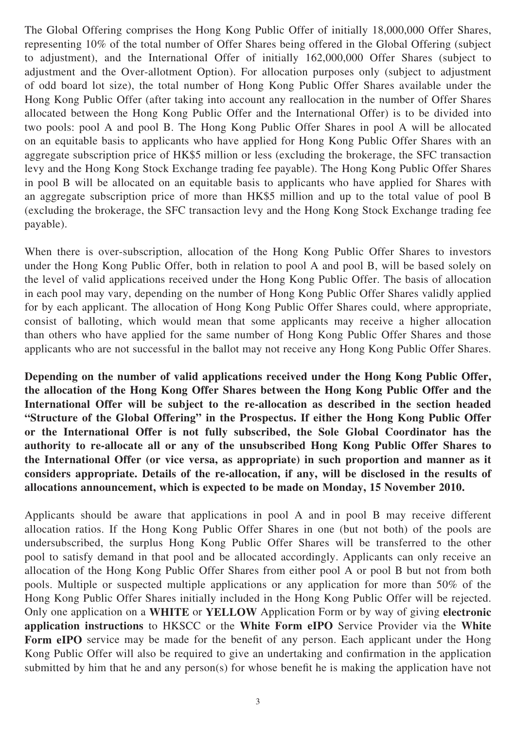The Global Offering comprises the Hong Kong Public Offer of initially 18,000,000 Offer Shares, representing 10% of the total number of Offer Shares being offered in the Global Offering (subject to adjustment), and the International Offer of initially 162,000,000 Offer Shares (subject to adjustment and the Over-allotment Option). For allocation purposes only (subject to adjustment of odd board lot size), the total number of Hong Kong Public Offer Shares available under the Hong Kong Public Offer (after taking into account any reallocation in the number of Offer Shares allocated between the Hong Kong Public Offer and the International Offer) is to be divided into two pools: pool A and pool B. The Hong Kong Public Offer Shares in pool A will be allocated on an equitable basis to applicants who have applied for Hong Kong Public Offer Shares with an aggregate subscription price of HK\$5 million or less (excluding the brokerage, the SFC transaction levy and the Hong Kong Stock Exchange trading fee payable). The Hong Kong Public Offer Shares in pool B will be allocated on an equitable basis to applicants who have applied for Shares with an aggregate subscription price of more than HK\$5 million and up to the total value of pool B (excluding the brokerage, the SFC transaction levy and the Hong Kong Stock Exchange trading fee payable).

When there is over-subscription, allocation of the Hong Kong Public Offer Shares to investors under the Hong Kong Public Offer, both in relation to pool A and pool B, will be based solely on the level of valid applications received under the Hong Kong Public Offer. The basis of allocation in each pool may vary, depending on the number of Hong Kong Public Offer Shares validly applied for by each applicant. The allocation of Hong Kong Public Offer Shares could, where appropriate, consist of balloting, which would mean that some applicants may receive a higher allocation than others who have applied for the same number of Hong Kong Public Offer Shares and those applicants who are not successful in the ballot may not receive any Hong Kong Public Offer Shares.

**Depending on the number of valid applications received under the Hong Kong Public Offer, the allocation of the Hong Kong Offer Shares between the Hong Kong Public Offer and the International Offer will be subject to the re-allocation as described in the section headed "Structure of the Global Offering" in the Prospectus. If either the Hong Kong Public Offer or the International Offer is not fully subscribed, the Sole Global Coordinator has the authority to re-allocate all or any of the unsubscribed Hong Kong Public Offer Shares to the International Offer (or vice versa, as appropriate) in such proportion and manner as it considers appropriate. Details of the re-allocation, if any, will be disclosed in the results of allocations announcement, which is expected to be made on Monday, 15 November 2010.**

Applicants should be aware that applications in pool A and in pool B may receive different allocation ratios. If the Hong Kong Public Offer Shares in one (but not both) of the pools are undersubscribed, the surplus Hong Kong Public Offer Shares will be transferred to the other pool to satisfy demand in that pool and be allocated accordingly. Applicants can only receive an allocation of the Hong Kong Public Offer Shares from either pool A or pool B but not from both pools. Multiple or suspected multiple applications or any application for more than 50% of the Hong Kong Public Offer Shares initially included in the Hong Kong Public Offer will be rejected. Only one application on a **WHITE** or **YELLOW** Application Form or by way of giving **electronic application instructions** to HKSCC or the **White Form eIPO** Service Provider via the **White**  Form eIPO service may be made for the benefit of any person. Each applicant under the Hong Kong Public Offer will also be required to give an undertaking and confirmation in the application submitted by him that he and any person(s) for whose benefit he is making the application have not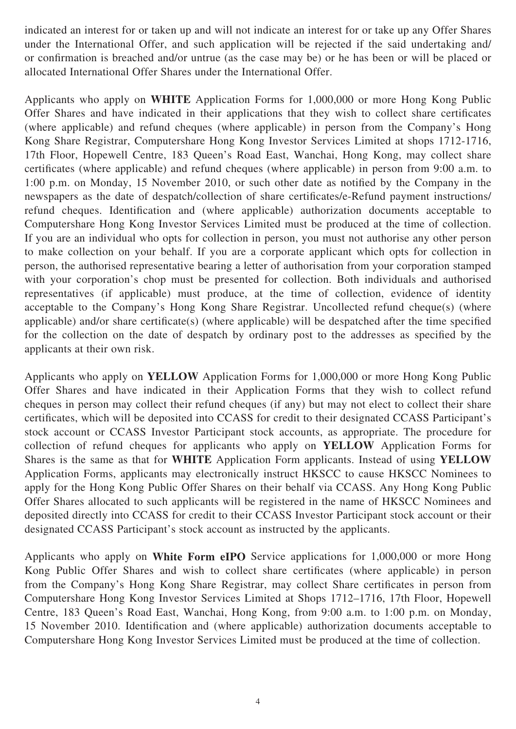indicated an interest for or taken up and will not indicate an interest for or take up any Offer Shares under the International Offer, and such application will be rejected if the said undertaking and/ or confirmation is breached and/or untrue (as the case may be) or he has been or will be placed or allocated International Offer Shares under the International Offer.

Applicants who apply on **WHITE** Application Forms for 1,000,000 or more Hong Kong Public Offer Shares and have indicated in their applications that they wish to collect share certificates (where applicable) and refund cheques (where applicable) in person from the Company's Hong Kong Share Registrar, Computershare Hong Kong Investor Services Limited at shops 1712-1716, 17th Floor, Hopewell Centre, 183 Queen's Road East, Wanchai, Hong Kong, may collect share certificates (where applicable) and refund cheques (where applicable) in person from 9:00 a.m. to 1:00 p.m. on Monday, 15 November 2010, or such other date as notified by the Company in the newspapers as the date of despatch/collection of share certificates/e-Refund payment instructions/ refund cheques. Identification and (where applicable) authorization documents acceptable to Computershare Hong Kong Investor Services Limited must be produced at the time of collection. If you are an individual who opts for collection in person, you must not authorise any other person to make collection on your behalf. If you are a corporate applicant which opts for collection in person, the authorised representative bearing a letter of authorisation from your corporation stamped with your corporation's chop must be presented for collection. Both individuals and authorised representatives (if applicable) must produce, at the time of collection, evidence of identity acceptable to the Company's Hong Kong Share Registrar. Uncollected refund cheque(s) (where applicable) and/or share certificate(s) (where applicable) will be despatched after the time specified for the collection on the date of despatch by ordinary post to the addresses as specified by the applicants at their own risk.

Applicants who apply on **YELLOW** Application Forms for 1,000,000 or more Hong Kong Public Offer Shares and have indicated in their Application Forms that they wish to collect refund cheques in person may collect their refund cheques (if any) but may not elect to collect their share certificates, which will be deposited into CCASS for credit to their designated CCASS Participant's stock account or CCASS Investor Participant stock accounts, as appropriate. The procedure for collection of refund cheques for applicants who apply on **YELLOW** Application Forms for Shares is the same as that for **WHITE** Application Form applicants. Instead of using **YELLOW** Application Forms, applicants may electronically instruct HKSCC to cause HKSCC Nominees to apply for the Hong Kong Public Offer Shares on their behalf via CCASS. Any Hong Kong Public Offer Shares allocated to such applicants will be registered in the name of HKSCC Nominees and deposited directly into CCASS for credit to their CCASS Investor Participant stock account or their designated CCASS Participant's stock account as instructed by the applicants.

Applicants who apply on **White Form eIPO** Service applications for 1,000,000 or more Hong Kong Public Offer Shares and wish to collect share certificates (where applicable) in person from the Company's Hong Kong Share Registrar, may collect Share certificates in person from Computershare Hong Kong Investor Services Limited at Shops 1712–1716, 17th Floor, Hopewell Centre, 183 Queen's Road East, Wanchai, Hong Kong, from 9:00 a.m. to 1:00 p.m. on Monday, 15 November 2010. Identification and (where applicable) authorization documents acceptable to Computershare Hong Kong Investor Services Limited must be produced at the time of collection.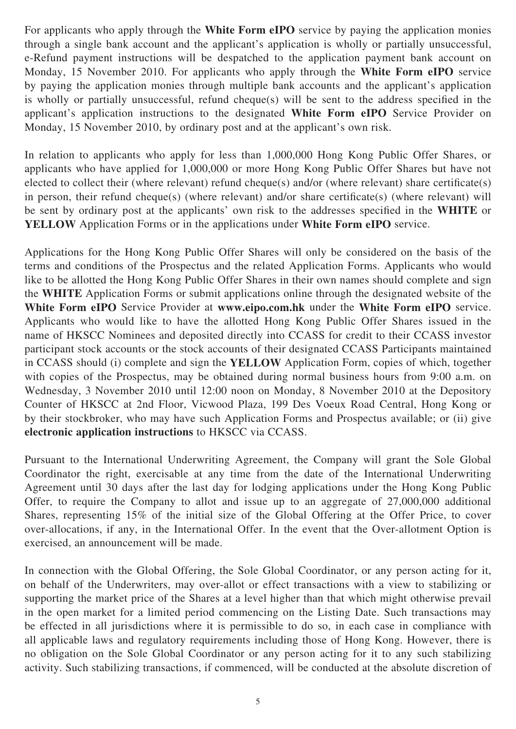For applicants who apply through the **White Form eIPO** service by paying the application monies through a single bank account and the applicant's application is wholly or partially unsuccessful, e-Refund payment instructions will be despatched to the application payment bank account on Monday, 15 November 2010. For applicants who apply through the **White Form eIPO** service by paying the application monies through multiple bank accounts and the applicant's application is wholly or partially unsuccessful, refund cheque(s) will be sent to the address specified in the applicant's application instructions to the designated **White Form eIPO** Service Provider on Monday, 15 November 2010, by ordinary post and at the applicant's own risk.

In relation to applicants who apply for less than 1,000,000 Hong Kong Public Offer Shares, or applicants who have applied for 1,000,000 or more Hong Kong Public Offer Shares but have not elected to collect their (where relevant) refund cheque(s) and/or (where relevant) share certificate(s) in person, their refund cheque(s) (where relevant) and/or share certificate(s) (where relevant) will be sent by ordinary post at the applicants' own risk to the addresses specified in the **WHITE** or **YELLOW** Application Forms or in the applications under **White Form eIPO** service.

Applications for the Hong Kong Public Offer Shares will only be considered on the basis of the terms and conditions of the Prospectus and the related Application Forms. Applicants who would like to be allotted the Hong Kong Public Offer Shares in their own names should complete and sign the **WHITE** Application Forms or submit applications online through the designated website of the **White Form eIPO** Service Provider at **www.eipo.com.hk** under the **White Form eIPO** service. Applicants who would like to have the allotted Hong Kong Public Offer Shares issued in the name of HKSCC Nominees and deposited directly into CCASS for credit to their CCASS investor participant stock accounts or the stock accounts of their designated CCASS Participants maintained in CCASS should (i) complete and sign the **YELLOW** Application Form, copies of which, together with copies of the Prospectus, may be obtained during normal business hours from 9:00 a.m. on Wednesday, 3 November 2010 until 12:00 noon on Monday, 8 November 2010 at the Depository Counter of HKSCC at 2nd Floor, Vicwood Plaza, 199 Des Voeux Road Central, Hong Kong or by their stockbroker, who may have such Application Forms and Prospectus available; or (ii) give **electronic application instructions** to HKSCC via CCASS.

Pursuant to the International Underwriting Agreement, the Company will grant the Sole Global Coordinator the right, exercisable at any time from the date of the International Underwriting Agreement until 30 days after the last day for lodging applications under the Hong Kong Public Offer, to require the Company to allot and issue up to an aggregate of 27,000,000 additional Shares, representing 15% of the initial size of the Global Offering at the Offer Price, to cover over-allocations, if any, in the International Offer. In the event that the Over-allotment Option is exercised, an announcement will be made.

In connection with the Global Offering, the Sole Global Coordinator, or any person acting for it, on behalf of the Underwriters, may over-allot or effect transactions with a view to stabilizing or supporting the market price of the Shares at a level higher than that which might otherwise prevail in the open market for a limited period commencing on the Listing Date. Such transactions may be effected in all jurisdictions where it is permissible to do so, in each case in compliance with all applicable laws and regulatory requirements including those of Hong Kong. However, there is no obligation on the Sole Global Coordinator or any person acting for it to any such stabilizing activity. Such stabilizing transactions, if commenced, will be conducted at the absolute discretion of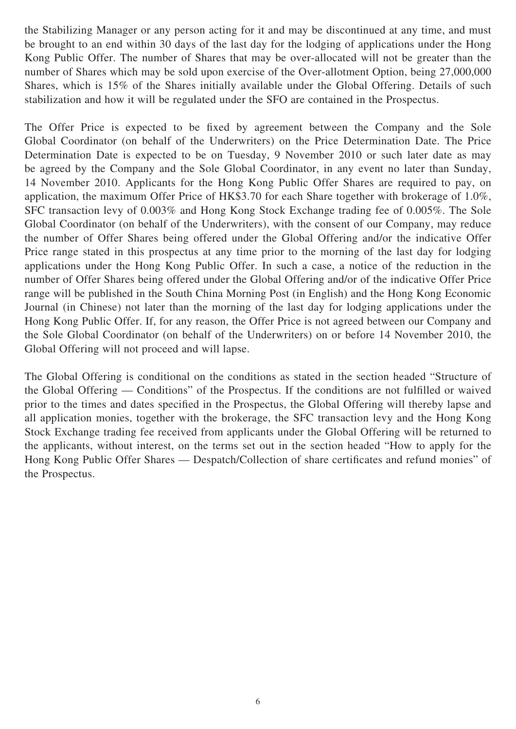the Stabilizing Manager or any person acting for it and may be discontinued at any time, and must be brought to an end within 30 days of the last day for the lodging of applications under the Hong Kong Public Offer. The number of Shares that may be over-allocated will not be greater than the number of Shares which may be sold upon exercise of the Over-allotment Option, being 27,000,000 Shares, which is 15% of the Shares initially available under the Global Offering. Details of such stabilization and how it will be regulated under the SFO are contained in the Prospectus.

The Offer Price is expected to be fixed by agreement between the Company and the Sole Global Coordinator (on behalf of the Underwriters) on the Price Determination Date. The Price Determination Date is expected to be on Tuesday, 9 November 2010 or such later date as may be agreed by the Company and the Sole Global Coordinator, in any event no later than Sunday, 14 November 2010. Applicants for the Hong Kong Public Offer Shares are required to pay, on application, the maximum Offer Price of HK\$3.70 for each Share together with brokerage of 1.0%, SFC transaction levy of 0.003% and Hong Kong Stock Exchange trading fee of 0.005%. The Sole Global Coordinator (on behalf of the Underwriters), with the consent of our Company, may reduce the number of Offer Shares being offered under the Global Offering and/or the indicative Offer Price range stated in this prospectus at any time prior to the morning of the last day for lodging applications under the Hong Kong Public Offer. In such a case, a notice of the reduction in the number of Offer Shares being offered under the Global Offering and/or of the indicative Offer Price range will be published in the South China Morning Post (in English) and the Hong Kong Economic Journal (in Chinese) not later than the morning of the last day for lodging applications under the Hong Kong Public Offer. If, for any reason, the Offer Price is not agreed between our Company and the Sole Global Coordinator (on behalf of the Underwriters) on or before 14 November 2010, the Global Offering will not proceed and will lapse.

The Global Offering is conditional on the conditions as stated in the section headed "Structure of the Global Offering — Conditions" of the Prospectus. If the conditions are not fulfilled or waived prior to the times and dates specified in the Prospectus, the Global Offering will thereby lapse and all application monies, together with the brokerage, the SFC transaction levy and the Hong Kong Stock Exchange trading fee received from applicants under the Global Offering will be returned to the applicants, without interest, on the terms set out in the section headed "How to apply for the Hong Kong Public Offer Shares — Despatch/Collection of share certificates and refund monies" of the Prospectus.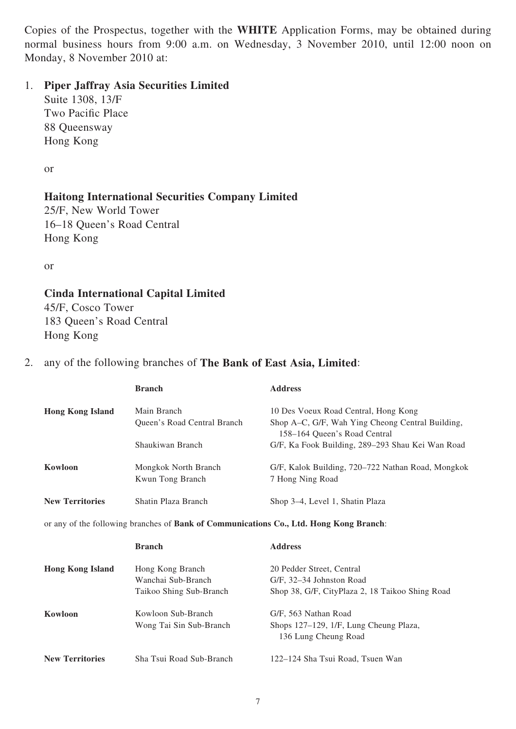Copies of the Prospectus, together with the **WHITE** Application Forms, may be obtained during normal business hours from 9:00 a.m. on Wednesday, 3 November 2010, until 12:00 noon on Monday, 8 November 2010 at:

#### 1. **Piper Jaffray Asia Securities Limited**

Suite 1308, 13/F Two Pacific Place 88 Queensway Hong Kong

or

### **Haitong International Securities Company Limited**

25/F, New World Tower 16–18 Queen's Road Central Hong Kong

or

# **Cinda International Capital Limited**

45/F, Cosco Tower 183 Queen's Road Central Hong Kong

#### 2. any of the following branches of **The Bank of East Asia, Limited**:

|                         | <b>Branch</b>               | <b>Address</b>                                                                         |
|-------------------------|-----------------------------|----------------------------------------------------------------------------------------|
| <b>Hong Kong Island</b> | Main Branch                 | 10 Des Voeux Road Central, Hong Kong                                                   |
|                         | Queen's Road Central Branch | Shop A-C, G/F, Wah Ying Cheong Central Building,<br>158-164 Queen's Road Central       |
|                         | Shaukiwan Branch            | G/F, Ka Fook Building, 289-293 Shau Kei Wan Road                                       |
| Kowloon                 | Mongkok North Branch        | G/F, Kalok Building, 720-722 Nathan Road, Mongkok                                      |
|                         | Kwun Tong Branch            | 7 Hong Ning Road                                                                       |
| <b>New Territories</b>  | Shatin Plaza Branch         | Shop 3–4, Level 1, Shatin Plaza                                                        |
|                         |                             | or any of the following branches of Bank of Communications Co., Ltd. Hong Kong Branch: |
|                         | <b>Branch</b>               | <b>Address</b>                                                                         |
| <b>Hong Kong Island</b> | Hong Kong Branch            | 20 Pedder Street, Central                                                              |
|                         | Wanchai Sub-Branch          | G/F, 32-34 Johnston Road                                                               |
|                         | Taikoo Shing Sub-Branch     | Shop 38, G/F, CityPlaza 2, 18 Taikoo Shing Road                                        |
| Kowloon                 | Kowloon Sub-Branch          | G/F, 563 Nathan Road                                                                   |
|                         | Wong Tai Sin Sub-Branch     | Shops 127–129, 1/F, Lung Cheung Plaza,<br>136 Lung Cheung Road                         |
|                         |                             |                                                                                        |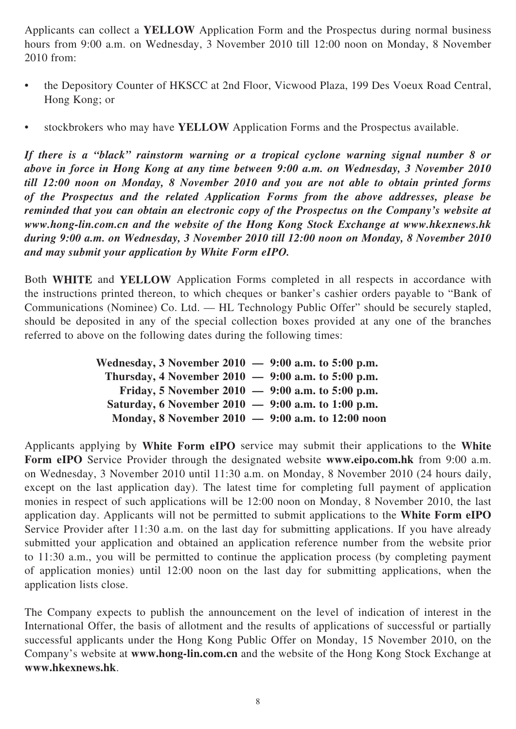Applicants can collect a **YELLOW** Application Form and the Prospectus during normal business hours from 9:00 a.m. on Wednesday, 3 November 2010 till 12:00 noon on Monday, 8 November 2010 from:

- the Depository Counter of HKSCC at 2nd Floor, Vicwood Plaza, 199 Des Voeux Road Central, Hong Kong; or
- stockbrokers who may have **YELLOW** Application Forms and the Prospectus available.

*If there is a "black" rainstorm warning or a tropical cyclone warning signal number 8 or above in force in Hong Kong at any time between 9:00 a.m. on Wednesday, 3 November 2010 till 12:00 noon on Monday, 8 November 2010 and you are not able to obtain printed forms of the Prospectus and the related Application Forms from the above addresses, please be reminded that you can obtain an electronic copy of the Prospectus on the Company's website at www.hong-lin.com.cn and the website of the Hong Kong Stock Exchange at www.hkexnews.hk during 9:00 a.m. on Wednesday, 3 November 2010 till 12:00 noon on Monday, 8 November 2010 and may submit your application by White Form eIPO.*

Both **WHITE** and **YELLOW** Application Forms completed in all respects in accordance with the instructions printed thereon, to which cheques or banker's cashier orders payable to "Bank of Communications (Nominee) Co. Ltd. — HL Technology Public Offer" should be securely stapled, should be deposited in any of the special collection boxes provided at any one of the branches referred to above on the following dates during the following times:

| Wednesday, 3 November 2010 $-$ 9:00 a.m. to 5:00 p.m. |  |
|-------------------------------------------------------|--|
| Thursday, 4 November 2010 $-$ 9:00 a.m. to 5:00 p.m.  |  |
| Friday, 5 November 2010 $-$ 9:00 a.m. to 5:00 p.m.    |  |
| Saturday, 6 November 2010 $-$ 9:00 a.m. to 1:00 p.m.  |  |
| Monday, 8 November 2010 $-$ 9:00 a.m. to 12:00 noon   |  |

Applicants applying by **White Form eIPO** service may submit their applications to the **White Form eIPO** Service Provider through the designated website **www.eipo.com.hk** from 9:00 a.m. on Wednesday, 3 November 2010 until 11:30 a.m. on Monday, 8 November 2010 (24 hours daily, except on the last application day). The latest time for completing full payment of application monies in respect of such applications will be 12:00 noon on Monday, 8 November 2010, the last application day. Applicants will not be permitted to submit applications to the **White Form eIPO** Service Provider after 11:30 a.m. on the last day for submitting applications. If you have already submitted your application and obtained an application reference number from the website prior to 11:30 a.m., you will be permitted to continue the application process (by completing payment of application monies) until 12:00 noon on the last day for submitting applications, when the application lists close.

The Company expects to publish the announcement on the level of indication of interest in the International Offer, the basis of allotment and the results of applications of successful or partially successful applicants under the Hong Kong Public Offer on Monday, 15 November 2010, on the Company's website at **www.hong-lin.com.cn** and the website of the Hong Kong Stock Exchange at **www.hkexnews.hk**.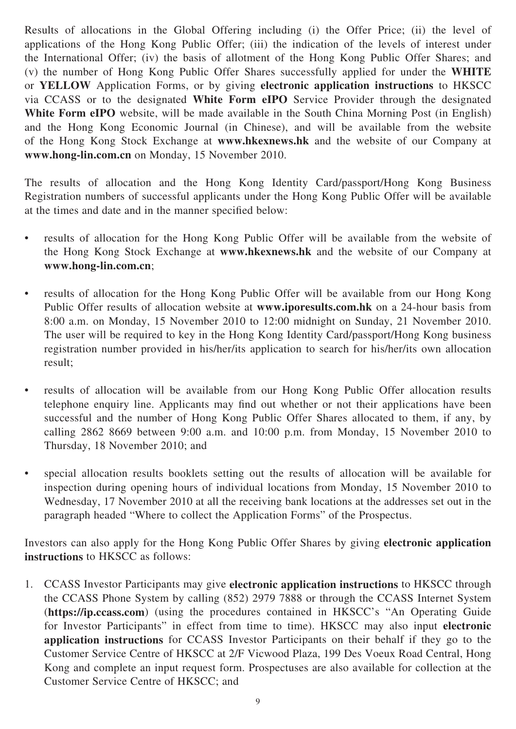Results of allocations in the Global Offering including (i) the Offer Price; (ii) the level of applications of the Hong Kong Public Offer; (iii) the indication of the levels of interest under the International Offer; (iv) the basis of allotment of the Hong Kong Public Offer Shares; and (v) the number of Hong Kong Public Offer Shares successfully applied for under the **WHITE** or **YELLOW** Application Forms, or by giving **electronic application instructions** to HKSCC via CCASS or to the designated **White Form eIPO** Service Provider through the designated **White Form eIPO** website, will be made available in the South China Morning Post (in English) and the Hong Kong Economic Journal (in Chinese), and will be available from the website of the Hong Kong Stock Exchange at **www.hkexnews.hk** and the website of our Company at **www.hong-lin.com.cn** on Monday, 15 November 2010.

The results of allocation and the Hong Kong Identity Card/passport/Hong Kong Business Registration numbers of successful applicants under the Hong Kong Public Offer will be available at the times and date and in the manner specified below:

- results of allocation for the Hong Kong Public Offer will be available from the website of the Hong Kong Stock Exchange at **www.hkexnews.hk** and the website of our Company at **www.hong-lin.com.cn**;
- results of allocation for the Hong Kong Public Offer will be available from our Hong Kong Public Offer results of allocation website at **www.iporesults.com.hk** on a 24-hour basis from 8:00 a.m. on Monday, 15 November 2010 to 12:00 midnight on Sunday, 21 November 2010. The user will be required to key in the Hong Kong Identity Card/passport/Hong Kong business registration number provided in his/her/its application to search for his/her/its own allocation result;
- results of allocation will be available from our Hong Kong Public Offer allocation results telephone enquiry line. Applicants may find out whether or not their applications have been successful and the number of Hong Kong Public Offer Shares allocated to them, if any, by calling 2862 8669 between 9:00 a.m. and 10:00 p.m. from Monday, 15 November 2010 to Thursday, 18 November 2010; and
- special allocation results booklets setting out the results of allocation will be available for inspection during opening hours of individual locations from Monday, 15 November 2010 to Wednesday, 17 November 2010 at all the receiving bank locations at the addresses set out in the paragraph headed "Where to collect the Application Forms" of the Prospectus.

Investors can also apply for the Hong Kong Public Offer Shares by giving **electronic application instructions** to HKSCC as follows:

1. CCASS Investor Participants may give **electronic application instructions** to HKSCC through the CCASS Phone System by calling (852) 2979 7888 or through the CCASS Internet System (**https://ip.ccass.com**) (using the procedures contained in HKSCC's "An Operating Guide for Investor Participants" in effect from time to time). HKSCC may also input **electronic application instructions** for CCASS Investor Participants on their behalf if they go to the Customer Service Centre of HKSCC at 2/F Vicwood Plaza, 199 Des Voeux Road Central, Hong Kong and complete an input request form. Prospectuses are also available for collection at the Customer Service Centre of HKSCC; and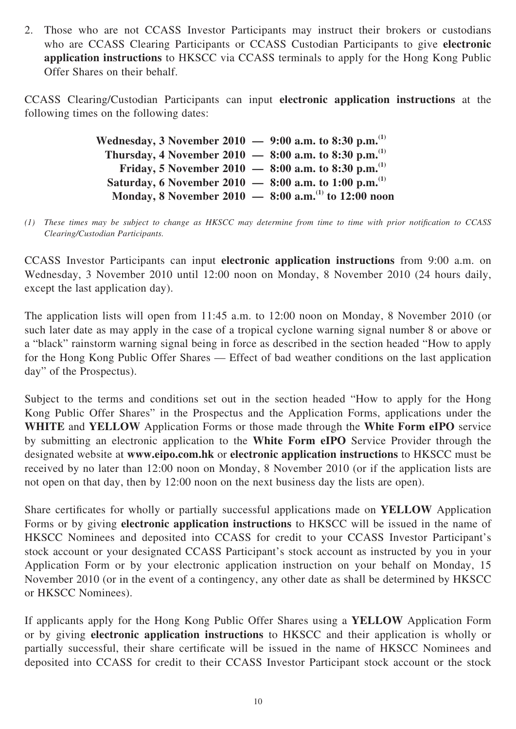2. Those who are not CCASS Investor Participants may instruct their brokers or custodians who are CCASS Clearing Participants or CCASS Custodian Participants to give **electronic application instructions** to HKSCC via CCASS terminals to apply for the Hong Kong Public Offer Shares on their behalf.

CCASS Clearing/Custodian Participants can input **electronic application instructions** at the following times on the following dates:

> **Wednesday, 3 November 2010 — 9:00 a.m. to 8:30 p.m.(1) Thursday, 4 November 2010 — 8:00 a.m. to 8:30 p.m.(1) Friday, 5 November 2010 — 8:00 a.m. to 8:30 p.m.(1) Saturday, 6 November 2010 — 8:00 a.m. to 1:00 p.m.(1) Monday, 8 November 2010 — 8:00 a.m.(1) to 12:00 noon**

(1) These times may be subject to change as HKSCC may determine from time to time with prior notification to CCASS *Clearing/Custodian Participants.*

CCASS Investor Participants can input **electronic application instructions** from 9:00 a.m. on Wednesday, 3 November 2010 until 12:00 noon on Monday, 8 November 2010 (24 hours daily, except the last application day).

The application lists will open from 11:45 a.m. to 12:00 noon on Monday, 8 November 2010 (or such later date as may apply in the case of a tropical cyclone warning signal number 8 or above or a "black" rainstorm warning signal being in force as described in the section headed "How to apply for the Hong Kong Public Offer Shares — Effect of bad weather conditions on the last application day" of the Prospectus).

Subject to the terms and conditions set out in the section headed "How to apply for the Hong Kong Public Offer Shares" in the Prospectus and the Application Forms, applications under the **WHITE** and **YELLOW** Application Forms or those made through the **White Form eIPO** service by submitting an electronic application to the **White Form eIPO** Service Provider through the designated website at **www.eipo.com.hk** or **electronic application instructions** to HKSCC must be received by no later than 12:00 noon on Monday, 8 November 2010 (or if the application lists are not open on that day, then by 12:00 noon on the next business day the lists are open).

Share certificates for wholly or partially successful applications made on **YELLOW** Application Forms or by giving **electronic application instructions** to HKSCC will be issued in the name of HKSCC Nominees and deposited into CCASS for credit to your CCASS Investor Participant's stock account or your designated CCASS Participant's stock account as instructed by you in your Application Form or by your electronic application instruction on your behalf on Monday, 15 November 2010 (or in the event of a contingency, any other date as shall be determined by HKSCC or HKSCC Nominees).

If applicants apply for the Hong Kong Public Offer Shares using a **YELLOW** Application Form or by giving **electronic application instructions** to HKSCC and their application is wholly or partially successful, their share certificate will be issued in the name of HKSCC Nominees and deposited into CCASS for credit to their CCASS Investor Participant stock account or the stock